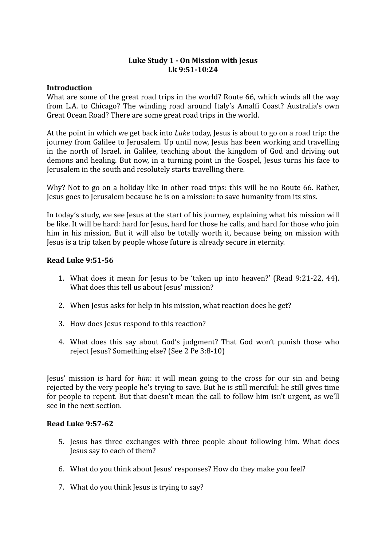## Luke Study 1 - On Mission with Jesus **Lk 9:51-10:24**

### **Introduction**

What are some of the great road trips in the world? Route 66, which winds all the way from L.A. to Chicago? The winding road around Italy's Amalfi Coast? Australia's own Great Ocean Road? There are some great road trips in the world.

At the point in which we get back into *Luke* today, Jesus is about to go on a road trip: the journey from Galilee to Jerusalem. Up until now, Jesus has been working and travelling in the north of Israel, in Galilee, teaching about the kingdom of God and driving out demons and healing. But now, in a turning point in the Gospel, Jesus turns his face to Jerusalem in the south and resolutely starts travelling there.

Why? Not to go on a holiday like in other road trips: this will be no Route 66. Rather, Jesus goes to Jerusalem because he is on a mission: to save humanity from its sins.

In today's study, we see Jesus at the start of his journey, explaining what his mission will be like. It will be hard: hard for Jesus, hard for those he calls, and hard for those who join him in his mission. But it will also be totally worth it, because being on mission with Jesus is a trip taken by people whose future is already secure in eternity.

## **Read Luke 9:51-56**

- 1. What does it mean for Jesus to be 'taken up into heaven?' (Read 9:21-22, 44). What does this tell us about Jesus' mission?
- 2. When Jesus asks for help in his mission, what reaction does he get?
- 3. How does Jesus respond to this reaction?
- 4. What does this say about God's judgment? That God won't punish those who reject Jesus? Something else? (See 2 Pe 3:8-10)

Jesus' mission is hard for *him*: it will mean going to the cross for our sin and being rejected by the very people he's trying to save. But he is still merciful: he still gives time for people to repent. But that doesn't mean the call to follow him isn't urgent, as we'll see in the next section.

#### **Read Luke 9:57-62**

- 5. Jesus has three exchanges with three people about following him. What does Jesus say to each of them?
- 6. What do you think about lesus' responses? How do they make you feel?
- 7. What do you think lesus is trying to say?